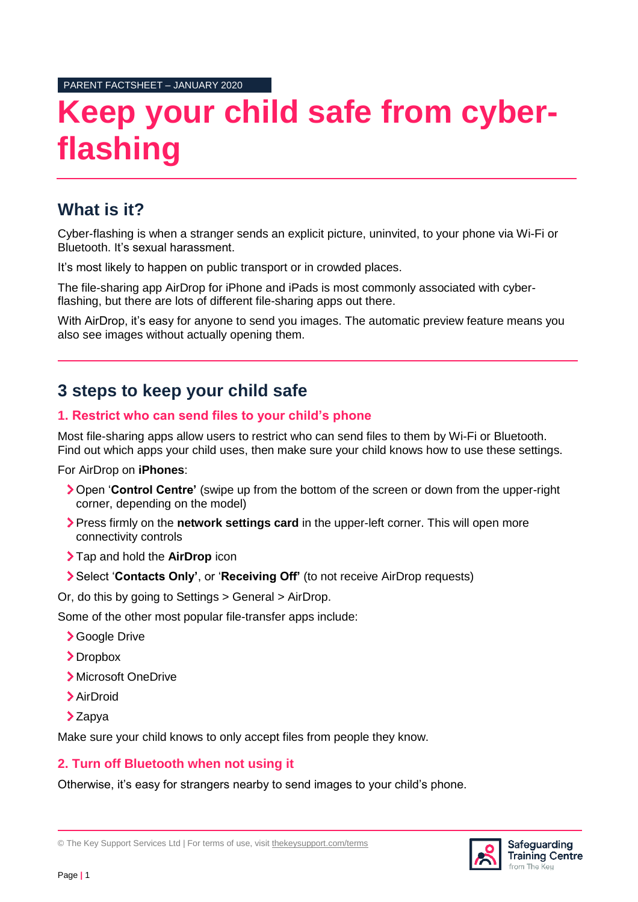PARENT FACTSHEET – JANUARY 2020

# **Keep your child safe from cyberflashing**

### **What is it?**

Cyber-flashing is when a stranger sends an explicit picture, uninvited, to your phone via Wi-Fi or Bluetooth. It's sexual harassment.

It's most likely to happen on public transport or in crowded places.

The file-sharing app AirDrop for iPhone and iPads is most commonly associated with cyberflashing, but there are lots of different file-sharing apps out there.

With AirDrop, it's easy for anyone to send you images. The automatic preview feature means you also see images without actually opening them.

## **3 steps to keep your child safe**

#### **1. Restrict who can send files to your child's phone**

Most file-sharing apps allow users to restrict who can send files to them by Wi-Fi or Bluetooth. Find out which apps your child uses, then make sure your child knows how to use these settings.

For AirDrop on **iPhones**:

- Open '**Control Centre'** (swipe up from the bottom of the screen or down from the upper-right corner, depending on the model)
- Press firmly on the **network settings card** in the upper-left corner. This will open more connectivity controls
- Tap and hold the **AirDrop** icon
- Select '**Contacts Only'**, or '**Receiving Off'** (to not receive AirDrop requests)

Or, do this by going to Settings > General > AirDrop.

Some of the other most popular file-transfer apps include:

- Google Drive
- >Dropbox
- Microsoft OneDrive
- AirDroid
- $\sum$  Zapya

Make sure your child knows to only accept files from people they know.

#### **2. Turn off Bluetooth when not using it**

Otherwise, it's easy for strangers nearby to send images to your child's phone.